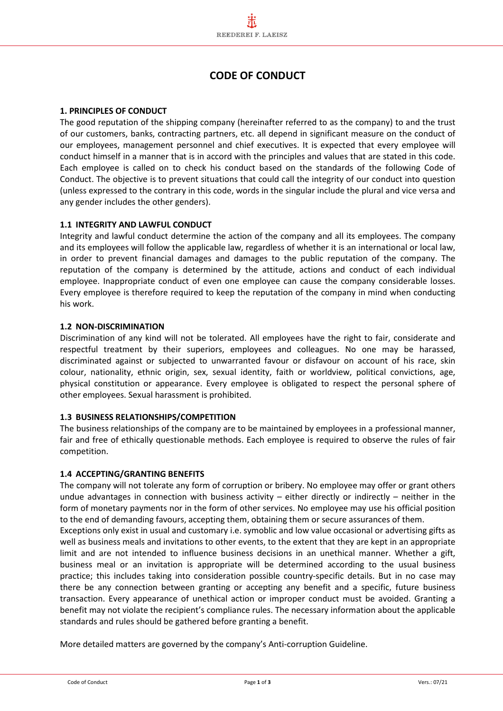# **CODE OF CONDUCT**

# **1. PRINCIPLES OF CONDUCT**

The good reputation of the shipping company (hereinafter referred to as the company) to and the trust of our customers, banks, contracting partners, etc. all depend in significant measure on the conduct of our employees, management personnel and chief executives. It is expected that every employee will conduct himself in a manner that is in accord with the principles and values that are stated in this code. Each employee is called on to check his conduct based on the standards of the following Code of Conduct. The objective is to prevent situations that could call the integrity of our conduct into question (unless expressed to the contrary in this code, words in the singular include the plural and vice versa and any gender includes the other genders).

# **1.1 INTEGRITY AND LAWFUL CONDUCT**

Integrity and lawful conduct determine the action of the company and all its employees. The company and its employees will follow the applicable law, regardless of whether it is an international or local law, in order to prevent financial damages and damages to the public reputation of the company. The reputation of the company is determined by the attitude, actions and conduct of each individual employee. Inappropriate conduct of even one employee can cause the company considerable losses. Every employee is therefore required to keep the reputation of the company in mind when conducting his work.

# **1.2 NON-DISCRIMINATION**

Discrimination of any kind will not be tolerated. All employees have the right to fair, considerate and respectful treatment by their superiors, employees and colleagues. No one may be harassed, discriminated against or subjected to unwarranted favour or disfavour on account of his race, skin colour, nationality, ethnic origin, sex, sexual identity, faith or worldview, political convictions, age, physical constitution or appearance. Every employee is obligated to respect the personal sphere of other employees. Sexual harassment is prohibited.

# **1.3 BUSINESS RELATIONSHIPS/COMPETITION**

The business relationships of the company are to be maintained by employees in a professional manner, fair and free of ethically questionable methods. Each employee is required to observe the rules of fair competition.

# **1.4 ACCEPTING/GRANTING BENEFITS**

The company will not tolerate any form of corruption or bribery. No employee may offer or grant others undue advantages in connection with business activity – either directly or indirectly – neither in the form of monetary payments nor in the form of other services. No employee may use his official position to the end of demanding favours, accepting them, obtaining them or secure assurances of them.

Exceptions only exist in usual and customary i.e. symoblic and low value occasional or advertising gifts as well as business meals and invitations to other events, to the extent that they are kept in an appropriate limit and are not intended to influence business decisions in an unethical manner. Whether a gift, business meal or an invitation is appropriate will be determined according to the usual business practice; this includes taking into consideration possible country-specific details. But in no case may there be any connection between granting or accepting any benefit and a specific, future business transaction. Every appearance of unethical action or improper conduct must be avoided. Granting a benefit may not violate the recipient's compliance rules. The necessary information about the applicable standards and rules should be gathered before granting a benefit.

More detailed matters are governed by the company's Anti-corruption Guideline.

l,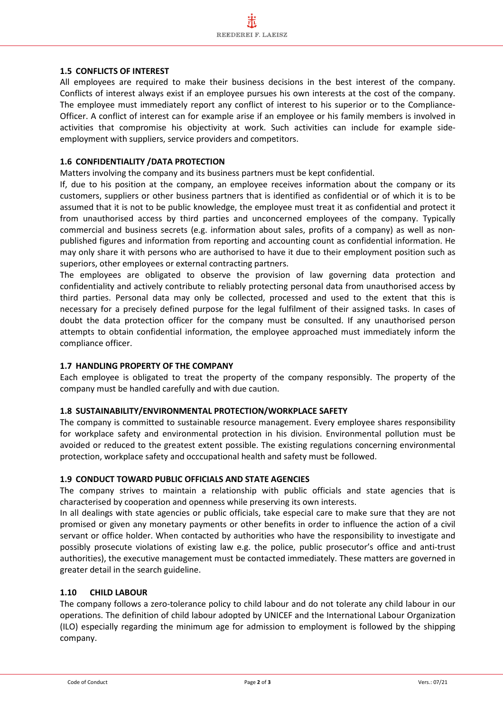#### **1.5 CONFLICTS OF INTEREST**

All employees are required to make their business decisions in the best interest of the company. Conflicts of interest always exist if an employee pursues his own interests at the cost of the company. The employee must immediately report any conflict of interest to his superior or to the Compliance-Officer. A conflict of interest can for example arise if an employee or his family members is involved in activities that compromise his objectivity at work. Such activities can include for example sideemployment with suppliers, service providers and competitors.

#### **1.6 CONFIDENTIALITY /DATA PROTECTION**

Matters involving the company and its business partners must be kept confidential.

If, due to his position at the company, an employee receives information about the company or its customers, suppliers or other business partners that is identified as confidential or of which it is to be assumed that it is not to be public knowledge, the employee must treat it as confidential and protect it from unauthorised access by third parties and unconcerned employees of the company. Typically commercial and business secrets (e.g. information about sales, profits of a company) as well as nonpublished figures and information from reporting and accounting count as confidential information. He may only share it with persons who are authorised to have it due to their employment position such as superiors, other employees or external contracting partners.

The employees are obligated to observe the provision of law governing data protection and confidentiality and actively contribute to reliably protecting personal data from unauthorised access by third parties. Personal data may only be collected, processed and used to the extent that this is necessary for a precisely defined purpose for the legal fulfilment of their assigned tasks. In cases of doubt the data protection officer for the company must be consulted. If any unauthorised person attempts to obtain confidential information, the employee approached must immediately inform the compliance officer.

# **1.7 HANDLING PROPERTY OF THE COMPANY**

Each employee is obligated to treat the property of the company responsibly. The property of the company must be handled carefully and with due caution.

#### **1.8 SUSTAINABILITY/ENVIRONMENTAL PROTECTION/WORKPLACE SAFETY**

The company is committed to sustainable resource management. Every employee shares responsibility for workplace safety and environmental protection in his division. Environmental pollution must be avoided or reduced to the greatest extent possible. The existing regulations concerning environmental protection, workplace safety and occcupational health and safety must be followed.

#### **1.9 CONDUCT TOWARD PUBLIC OFFICIALS AND STATE AGENCIES**

The company strives to maintain a relationship with public officials and state agencies that is characterised by cooperation and openness while preserving its own interests.

In all dealings with state agencies or public officials, take especial care to make sure that they are not promised or given any monetary payments or other benefits in order to influence the action of a civil servant or office holder. When contacted by authorities who have the responsibility to investigate and possibly prosecute violations of existing law e.g. the police, public prosecutor's office and anti-trust authorities), the executive management must be contacted immediately. These matters are governed in greater detail in the search guideline.

# **1.10 CHILD LABOUR**

The company follows a zero-tolerance policy to child labour and do not tolerate any child labour in our operations. The definition of child labour adopted by UNICEF and the International Labour Organization (ILO) especially regarding the minimum age for admission to employment is followed by the shipping company.

l,